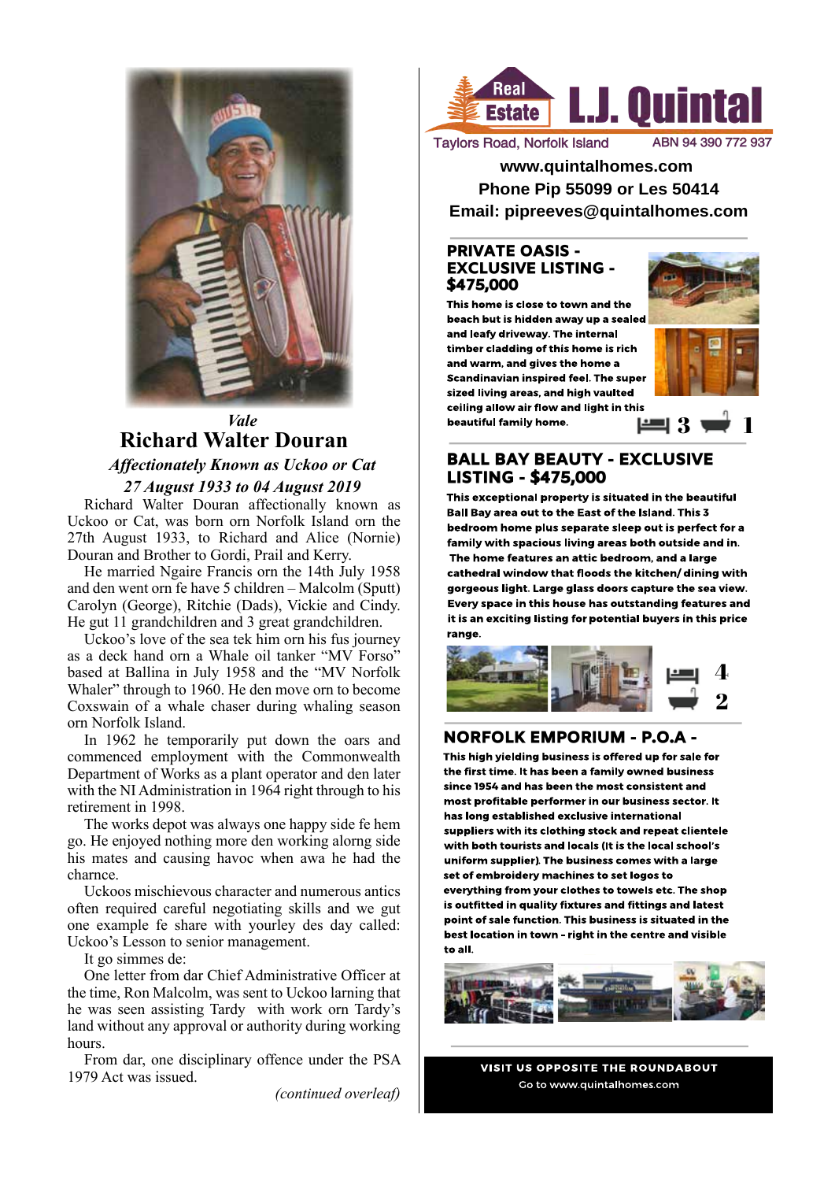

### *Vale* **Richard Walter Douran** *Affectionately Known as Uckoo or Cat 27 August 1933 to 04 August 2019*

Richard Walter Douran affectionally known as Uckoo or Cat, was born orn Norfolk Island orn the 27th August 1933, to Richard and Alice (Nornie) Douran and Brother to Gordi, Prail and Kerry.

He married Ngaire Francis orn the 14th July 1958 and den went orn fe have 5 children – Malcolm (Sputt) Carolyn (George), Ritchie (Dads), Vickie and Cindy. He gut 11 grandchildren and 3 great grandchildren.

Uckoo's love of the sea tek him orn his fus journey as a deck hand orn a Whale oil tanker "MV Forso" based at Ballina in July 1958 and the "MV Norfolk Whaler" through to 1960. He den move orn to become Coxswain of a whale chaser during whaling season orn Norfolk Island.

In 1962 he temporarily put down the oars and commenced employment with the Commonwealth Department of Works as a plant operator and den later with the NI Administration in 1964 right through to his retirement in 1998.

The works depot was always one happy side fe hem go. He enjoyed nothing more den working alorng side his mates and causing havoc when awa he had the charnce.

Uckoos mischievous character and numerous antics often required careful negotiating skills and we gut one example fe share with yourley des day called: Uckoo's Lesson to senior management.

It go simmes de:

One letter from dar Chief Administrative Officer at the time, Ron Malcolm, was sent to Uckoo larning that he was seen assisting Tardy with work orn Tardy's land without any approval or authority during working hours.

From dar, one disciplinary offence under the PSA 1979 Act was issued.

*(continued overleaf)*



**Taylors Road, Norfolk Island** 

**www.quintalhomes.com Phone Pip 55099 or Les 50414 Email: pipreeves@quintalhomes.com**

#### PRIVATE OASIS - EXCLUSIVE LISTING - \$475,000

This home is close to town and the beach but is hidden away up a sealed and leafy driveway. The internal timber cladding of this home is rich and warm, and gives the home a Scandinavian inspired feel. The super sized living areas, and high vaulted ceiling allow air flow and light in this beautiful family home.



■3 1

### BALL BAY BEAUTY - EXCLUSIVE LISTING - \$475,000

This exceptional property is situated in the beautiful Ball Bay area out to the East of the Island. This 3 bedroom home plus separate sleep out is perfect for a family with spacious living areas both outside and in. The home features an attic bedroom, and a large cathedral window that floods the kitchen/ dining with gorgeous light. Large glass doors capture the sea view. Every space in this house has outstanding features and it is an exciting listing for potential buyers in this price range.



## NORFOLK EMPORIUM - P.O.A -

This high yielding business is offered up for sale for the first time. It has been a family owned business since 1954 and has been the most consistent and most profitable performer in our business sector. It has long established exclusive international suppliers with its clothing stock and repeat clientele with both tourists and locals (It is the local school's uniform supplier). The business comes with a large set of embroidery machines to set logos to everything from your clothes to towels etc. The shop is outfitted in quality fixtures and fittings and latest point of sale function. This business is situated in the best location in town – right in the centre and visible to all.



VISIT US OPPOSITE THE ROUNDABOUT Go to www.quintalhomes.com